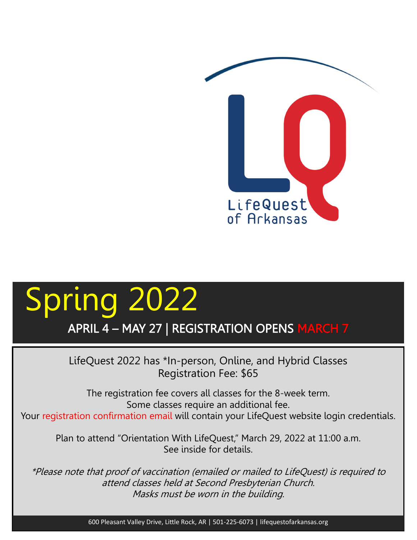

## Spring 2022 APRIL 4 – MAY 27 | REGISTRATION OPENS MARCH 7

LifeQuest 2022 has \*In-person, Online, and Hybrid Classes Registration Fee: \$65

The registration fee covers all classes for the 8-week term. Some classes require an additional fee. Your registration confirmation email will contain your LifeQuest website login credentials.

Plan to attend "Orientation With LifeQuest," March 29, 2022 at 11:00 a.m. See inside for details.

\*Please note that proof of vaccination (emailed or mailed to LifeQuest) is required to attend classes held at Second Presbyterian Church. Masks must be worn in the building.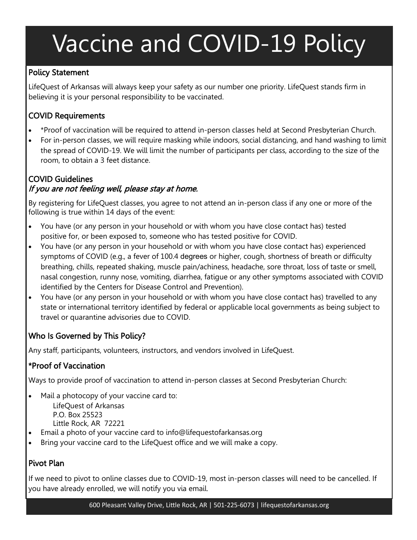# Vaccine and COVID-19 Policy

#### Policy Statement

LifeQuest of Arkansas will always keep your safety as our number one priority. LifeQuest stands firm in believing it is your personal responsibility to be vaccinated.

#### COVID Requirements

- \*Proof of vaccination will be required to attend in-person classes held at Second Presbyterian Church.
- For in-person classes, we will require masking while indoors, social distancing, and hand washing to limit the spread of COVID-19. We will limit the number of participants per class, according to the size of the room, to obtain a 3 feet distance.

#### COVID Guidelines If you are not feeling well, please stay at home.

By registering for LifeQuest classes, you agree to not attend an in-person class if any one or more of the following is true within 14 days of the event:

- You have (or any person in your household or with whom you have close contact has) tested positive for, or been exposed to, someone who has tested positive for COVID.
- You have (or any person in your household or with whom you have close contact has) experienced symptoms of COVID (e.g., a fever of 100.4 degrees or higher, cough, shortness of breath or difficulty breathing, chills, repeated shaking, muscle pain/achiness, headache, sore throat, loss of taste or smell, nasal congestion, runny nose, vomiting, diarrhea, fatigue or any other symptoms associated with COVID identified by the Centers for Disease Control and Prevention).
- You have (or any person in your household or with whom you have close contact has) travelled to any state or international territory identified by federal or applicable local governments as being subject to travel or quarantine advisories due to COVID.

#### Who Is Governed by This Policy?

Any staff, participants, volunteers, instructors, and vendors involved in LifeQuest.

#### \*Proof of Vaccination

Ways to provide proof of vaccination to attend in-person classes at Second Presbyterian Church:

- Mail a photocopy of your vaccine card to: LifeQuest of Arkansas P.O. Box 25523 Little Rock, AR 72221
- Email a photo of your vaccine card to info@lifequestofarkansas.org
- Bring your vaccine card to the LifeQuest office and we will make a copy.

#### Pivot Plan

If we need to pivot to online classes due to COVID-19, most in-person classes will need to be cancelled. If you have already enrolled, we will notify you via email.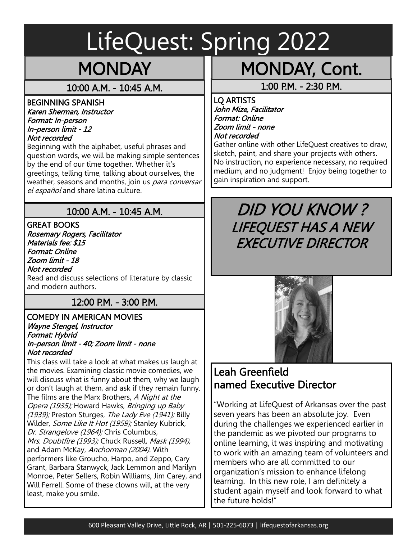# LifeQuest: Spring 2022

## **MONDAY**

### 10:00 A.M. - 10:45 A.M.

#### BEGINNING SPANISH Karen Sherman, Instructor Format: In-person In-person limit - 12

Not recorded

Beginning with the alphabet, useful phrases and question words, we will be making simple sentences by the end of our time together. Whether it's greetings, telling time, talking about ourselves, the weather, seasons and months, join us para conversar el español and share latina culture.

## 10:00 A.M. - 10:45 A.M.

GREAT BOOKS Rosemary Rogers, Facilitator Materials fee: \$15 Format: Online Zoom limit - 18 Not recorded Read and discuss selections of literature by classic and modern authors.

## 12:00 P.M. - 3:00 P.M.

#### COMEDY IN AMERICAN MOVIES Wayne Stengel, Instructor Format: Hybrid In-person limit - 40; Zoom limit - none Not recorded

This class will take a look at what makes us laugh at the movies. Examining classic movie comedies, we will discuss what is funny about them, why we laugh or don't laugh at them, and ask if they remain funny. The films are the Marx Brothers, A Night at the Opera (1935); Howard Hawks, Bringing up Baby (1939); Preston Sturges, The Lady Eve (1941); Billy Wilder, Some Like It Hot (1959); Stanley Kubrick, Dr. Strangelove (1964); Chris Columbus, Mrs. Doubtfire (1993); Chuck Russell, Mask (1994), and Adam McKay, Anchorman (2004). With performers like Groucho, Harpo, and Zeppo, Cary Grant, Barbara Stanwyck, Jack Lemmon and Marilyn Monroe, Peter Sellers, Robin Williams, Jim Carey, and Will Ferrell. Some of these clowns will, at the very least, make you smile.

## MONDAY, Cont.

1:00 P.M. - 2:30 P.M.

LQ ARTISTS John Mize, Facilitator Format: Online Zoom limit - none Not recorded

Gather online with other LifeQuest creatives to draw, sketch, paint, and share your projects with others. No instruction, no experience necessary, no required medium, and no judgment! Enjoy being together to gain inspiration and support.

## DID YOU KNOW ? LIFEQUEST HAS A NEW EXECUTIVE DIRECTOR



## Leah Greenfield named Executive Director

"Working at LifeQuest of Arkansas over the past seven years has been an absolute joy. Even during the challenges we experienced earlier in the pandemic as we pivoted our programs to online learning, it was inspiring and motivating to work with an amazing team of volunteers and members who are all committed to our organization's mission to enhance lifelong learning. In this new role, I am definitely a student again myself and look forward to what the future holds!"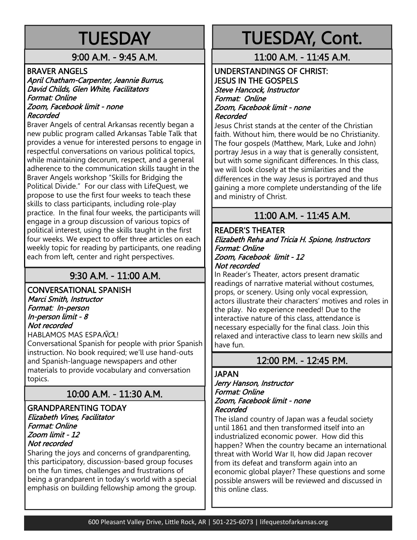## **TUESDAY**

9:00 A.M. - 9:45 A.M.

#### BRAVER ANGELS

#### April Chatham-Carpenter, Jeannie Burrus, David Childs, Glen White, Facilitators Format: Online Zoom, Facebook limit - none

#### Recorded

Braver Angels of central Arkansas recently began a new public program called Arkansas Table Talk that provides a venue for interested persons to engage in respectful conversations on various political topics, while maintaining decorum, respect, and a general adherence to the communication skills taught in the Braver Angels workshop "Skills for Bridging the Political Divide." For our class with LifeQuest, we propose to use the first four weeks to teach these skills to class participants, including role-play practice. In the final four weeks, the participants will engage in a group discussion of various topics of political interest, using the skills taught in the first four weeks. We expect to offer three articles on each weekly topic for reading by participants, one reading each from left, center and right perspectives.

### 9:30 A.M. - 11:00 A.M.

## CONVERSATIONAL SPANISH

Marci Smith, Instructor Format: In-person In-person limit - 8 Not recorded

HABLAMOS MAS ESPAÑOL!

Conversational Spanish for people with prior Spanish instruction. No book required; we'll use hand-outs and Spanish-language newspapers and other materials to provide vocabulary and conversation topics.

### 10:00 A.M. - 11:30 A.M.

#### GRANDPARENTING TODAY Elizabeth Vines, Facilitator Format: Online Zoom limit - 12 Not recorded

Sharing the joys and concerns of grandparenting, this participatory, discussion-based group focuses on the fun times, challenges and frustrations of being a grandparent in today's world with a special emphasis on building fellowship among the group.

## TUESDAY, Cont.

#### 11:00 A.M. - 11:45 A.M.

#### UNDERSTANDINGS OF CHRIST: JESUS IN THE GOSPELS Steve Hancock, Instructor Format: Online Zoom, Facebook limit - none Recorded

Jesus Christ stands at the center of the Christian faith. Without him, there would be no Christianity. The four gospels (Matthew, Mark, Luke and John) portray Jesus in a way that is generally consistent, but with some significant differences. In this class, we will look closely at the similarities and the differences in the way Jesus is portrayed and thus gaining a more complete understanding of the life and ministry of Christ.

### 11:00 A.M. - 11:45 A.M.

#### READER'S THEATER Elizabeth Reha and Tricia H. Spione, Instructors Format: Online Zoom, Facebook limit - 12 Not recorded

In Reader's Theater, actors present dramatic readings of narrative material without costumes, props, or scenery. Using only vocal expression, actors illustrate their characters' motives and roles in the play. No experience needed! Due to the interactive nature of this class, attendance is necessary especially for the final class. Join this relaxed and interactive class to learn new skills and have fun.

#### 12:00 P.M. - 12:45 P.M.

#### JAPAN

#### Jerry Hanson, Instructor Format: Online Zoom, Facebook limit - none Recorded

The island country of Japan was a feudal society until 1861 and then transformed itself into an industrialized economic power. How did this happen? When the country became an international threat with World War II, how did Japan recover from its defeat and transform again into an economic global player? These questions and some possible answers will be reviewed and discussed in this online class.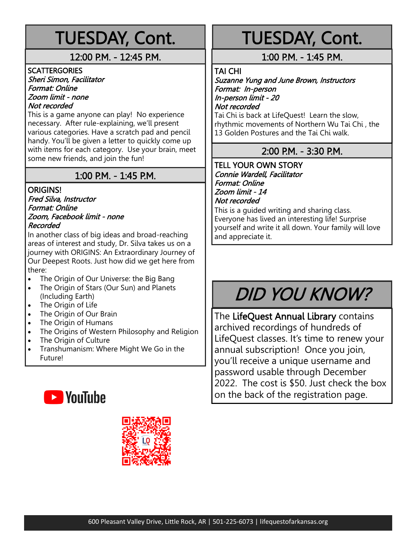## TUESDAY, Cont.

#### 12:00 P.M. - 12:45 P.M.

**SCATTERGORIES** Sheri Simon, Facilitator Format: Online Zoom limit - none Not recorded

This is a game anyone can play! No experience necessary. After rule-explaining, we'll present various categories. Have a scratch pad and pencil handy. You'll be given a letter to quickly come up with items for each category. Use your brain, meet some new friends, and join the fun!

### 1:00 P.M. - 1:45 P.M.

### ORIGINS!

#### Fred Silva, Instructor Format: Online Zoom, Facebook limit - none Recorded

In another class of big ideas and broad-reaching areas of interest and study, Dr. Silva takes us on a journey with ORIGINS: An Extraordinary Journey of Our Deepest Roots. Just how did we get here from there:

- The Origin of Our Universe: the Big Bang
- The Origin of Stars (Our Sun) and Planets (Including Earth)
- The Origin of Life
- The Origin of Our Brain
- The Origin of Humans
- The Origins of Western Philosophy and Religion
- The Origin of Culture
- Transhumanism: Where Might We Go in the Future!





## TUESDAY, Cont.

### 1:00 P.M. - 1:45 P.M.

TAI CHI

Suzanne Yung and June Brown, Instructors Format: In-person In-person limit - 20

Not recorded

Tai Chi is back at LifeQuest! Learn the slow, rhythmic movements of Northern Wu Tai Chi , the 13 Golden Postures and the Tai Chi walk.

### 2:00 P.M. - 3:30 P.M.

#### TELL YOUR OWN STORY Connie Wardell, Facilitator Format: Online Zoom limit - 14 Not recorded

This is a guided writing and sharing class. Everyone has lived an interesting life! Surprise yourself and write it all down. Your family will love and appreciate it.

## DID YOU KNOW?

The LifeQuest Annual Library contains archived recordings of hundreds of LifeQuest classes. It's time to renew your annual subscription! Once you join, you'll receive a unique username and password usable through December 2022. The cost is \$50. Just check the box on the back of the registration page.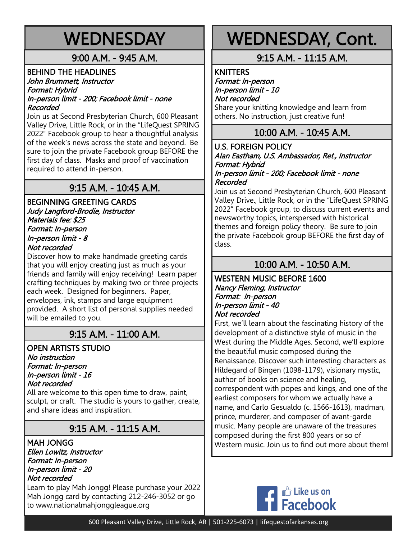## **WEDNESDAY**

### 9:00 A.M. - 9:45 A.M.

#### BEHIND THE HEADLINES John Brummett, Instructor Format: Hybrid In-person limit - 200; Facebook limit - none Recorded

Join us at Second Presbyterian Church, 600 Pleasant Valley Drive, Little Rock, or in the "LifeQuest SPRING 2022" Facebook group to hear a thoughtful analysis of the week's news across the state and beyond. Be sure to join the private Facebook group BEFORE the first day of class. Masks and proof of vaccination required to attend in-person.

## 9:15 A.M. - 10:45 A.M.

#### BEGINNING GREETING CARDS Judy Langford-Brodie, Instructor Materials fee: \$25 Format: In-person In-person limit - 8 Not recorded

Discover how to make handmade greeting cards that you will enjoy creating just as much as your friends and family will enjoy receiving! Learn paper crafting techniques by making two or three projects each week. Designed for beginners. Paper, envelopes, ink, stamps and large equipment provided. A short list of personal supplies needed will be emailed to you.

### 9:15 A.M. - 11:00 A.M.

OPEN ARTISTS STUDIO No instruction Format: In-person In-person limit - 16 Not recorded

All are welcome to this open time to draw, paint, sculpt, or craft. The studio is yours to gather, create, and share ideas and inspiration.

## 9:15 A.M. - 11:15 A.M.

MAH JONGG Ellen Lowitz, Instructor Format: In-person In-person limit - 20 Not recorded

Learn to play Mah Jongg! Please purchase your 2022 Mah Jongg card by contacting 212-246-3052 or go to www.nationalmahjonggleague.org

## WEDNESDAY, Cont.

#### 9:15 A.M. - 11:15 A.M.

**KNITTERS** 

Format: In-person In-person limit - 10 Not recorded Share your knitting knowledge and learn from others. No instruction, just creative fun!

#### 10:00 A.M. - 10:45 A.M.

U.S. FOREIGN POLICY Alan Eastham, U.S. Ambassador, Ret., Instructor Format: Hybrid In-person limit - 200; Facebook limit - none Recorded

Join us at Second Presbyterian Church, 600 Pleasant Valley Drive., Little Rock, or in the "LifeQuest SPRING 2022" Facebook group, to discuss current events and newsworthy topics, interspersed with historical themes and foreign policy theory. Be sure to join the private Facebook group BEFORE the first day of class.

### 10:00 A.M. - 10:50 A.M.

WESTERN MUSIC BEFORE 1600 Nancy Fleming, Instructor Format: In-person In-person limit - 40 Not recorded

First, we'll learn about the fascinating history of the development of a distinctive style of music in the West during the Middle Ages. Second, we'll explore the beautiful music composed during the Renaissance. Discover such interesting characters as Hildegard of Bingen (1098-1179), visionary mystic, author of books on science and healing, correspondent with popes and kings, and one of the earliest composers for whom we actually have a name, and Carlo Gesualdo (c. 1566-1613), madman, prince, murderer, and composer of avant-garde music. Many people are unaware of the treasures composed during the first 800 years or so of Western music. Join us to find out more about them!

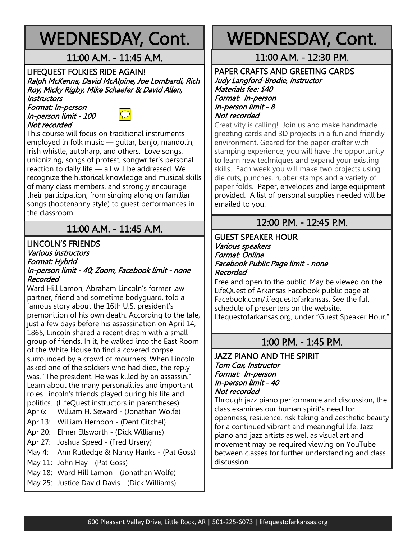## WEDNESDAY, Cont.

#### 11:00 A.M. - 11:45 A.M.

#### LIFEQUEST FOLKIES RIDE AGAIN! Ralph McKenna, David McAlpine, Joe Lombardi, Rich Roy, Micky Rigby, Mike Schaefer & David Allen, **Instructors**

Format: In-person In-person limit - 100 Not recorded



This course will focus on traditional instruments employed in folk music — guitar, banjo, mandolin, Irish whistle, autoharp, and others. Love songs, unionizing, songs of protest, songwriter's personal reaction to daily life — all will be addressed. We recognize the historical knowledge and musical skills of many class members, and strongly encourage their participation, from singing along on familiar songs (hootenanny style) to guest performances in the classroom.

## 11:00 A.M. - 11:45 A.M.

#### LINCOLN'S FRIENDS Various instructors Format: Hybrid

#### In-person limit - 40; Zoom, Facebook limit - none Recorded

Ward Hill Lamon, Abraham Lincoln's former law partner, friend and sometime bodyguard, told a famous story about the 16th U.S. president's premonition of his own death. According to the tale, just a few days before his assassination on April 14, 1865, Lincoln shared a recent dream with a small group of friends. In it, he walked into the East Room of the White House to find a covered corpse surrounded by a crowd of mourners. When Lincoln asked one of the soldiers who had died, the reply was, "The president. He was killed by an assassin." Learn about the many personalities and important roles Lincoln's friends played during his life and politics. (LifeQuest instructors in parentheses)

- Apr 6: William H. Seward (Jonathan Wolfe)
- Apr 13: William Herndon (Dent Gitchel)
- Apr 20: Elmer Ellsworth (Dick Williams)
- Apr 27: Joshua Speed (Fred Ursery)
- May 4: Ann Rutledge & Nancy Hanks (Pat Goss)
- May 11: John Hay (Pat Goss)
- May 18: Ward Hill Lamon (Jonathan Wolfe)
- May 25: Justice David Davis (Dick Williams)

## WEDNESDAY, Cont.

11:00 A.M. - 12:30 P.M.

#### PAPER CRAFTS AND GREETING CARDS Judy Langford-Brodie, Instructor Materials fee: \$40 Format: In-person In-person limit - 8 Not recorded

Creativity is calling! Join us and make handmade greeting cards and 3D projects in a fun and friendly environment. Geared for the paper crafter with stamping experience, you will have the opportunity to learn new techniques and expand your existing skills. Each week you will make two projects using die cuts, punches, rubber stamps and a variety of paper folds. Paper, envelopes and large equipment provided. A list of personal supplies needed will be emailed to you.

#### 12:00 P.M. - 12:45 P.M.

#### GUEST SPEAKER HOUR Various speakers Format: Online Facebook Public Page limit - none Recorded

Free and open to the public. May be viewed on the LifeQuest of Arkansas Facebook public page at Facebook.com/lifequestofarkansas. See the full schedule of presenters on the website, lifequestofarkansas.org, under "Guest Speaker Hour."

### 1:00 P.M. - 1:45 P.M.

#### JAZZ PIANO AND THE SPIRIT Tom Cox, Instructor Format: In-person In-person limit - 40 Not recorded

Through jazz piano performance and discussion, the class examines our human spirit's need for openness, resilience, risk taking and aesthetic beauty for a continued vibrant and meaningful life. Jazz piano and jazz artists as well as visual art and movement may be required viewing on YouTube between classes for further understanding and class discussion.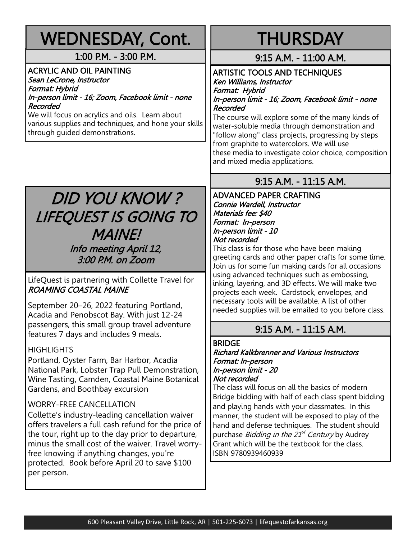| <b>WEDNESDAY, Cont.</b>                                                                                                                                                                                                                                                                                                                                                                                                                                                                                                                                                  | <b>THURSDAY</b>                                                                                                                                                                                                                                                                                                                                                                                                                                                                                                                                                                      |
|--------------------------------------------------------------------------------------------------------------------------------------------------------------------------------------------------------------------------------------------------------------------------------------------------------------------------------------------------------------------------------------------------------------------------------------------------------------------------------------------------------------------------------------------------------------------------|--------------------------------------------------------------------------------------------------------------------------------------------------------------------------------------------------------------------------------------------------------------------------------------------------------------------------------------------------------------------------------------------------------------------------------------------------------------------------------------------------------------------------------------------------------------------------------------|
| 1:00 P.M. - 3:00 P.M.                                                                                                                                                                                                                                                                                                                                                                                                                                                                                                                                                    | 9:15 A.M. - 11:00 A.M.                                                                                                                                                                                                                                                                                                                                                                                                                                                                                                                                                               |
| <b>ACRYLIC AND OIL PAINTING</b><br>Sean LeCrone, Instructor<br>Format: Hybrid<br>In-person limit - 16; Zoom, Facebook limit - none<br>Recorded<br>We will focus on acrylics and oils. Learn about<br>various supplies and techniques, and hone your skills<br>through guided demonstrations.                                                                                                                                                                                                                                                                             | <b>ARTISTIC TOOLS AND TECHNIQUES</b><br>Ken Williams, Instructor<br>Format: Hybrid<br>In-person limit - 16; Zoom, Facebook limit - none<br>Recorded<br>The course will explore some of the many kinds of<br>water-soluble media through demonstration and<br>"follow along" class projects, progressing by steps<br>from graphite to watercolors. We will use<br>these media to investigate color choice, composition<br>and mixed media applications.                                                                                                                               |
|                                                                                                                                                                                                                                                                                                                                                                                                                                                                                                                                                                          | 9:15 A.M. - 11:15 A.M.                                                                                                                                                                                                                                                                                                                                                                                                                                                                                                                                                               |
| <b>DID YOU KNOW?</b><br>LIFEQUEST IS GOING TO<br><b>MAINE!</b><br>Info meeting April 12,<br>3:00 P.M. on Zoom<br>LifeQuest is partnering with Collette Travel for<br><b>ROAMING COASTAL MAINE</b><br>September 20–26, 2022 featuring Portland,<br>Acadia and Penobscot Bay. With just 12-24                                                                                                                                                                                                                                                                              | <b>ADVANCED PAPER CRAFTING</b><br>Connie Wardell, Instructor<br>Materials fee: \$40<br>Format: In-person<br>In-person limit - 10<br>Not recorded<br>This class is for those who have been making<br>greeting cards and other paper crafts for some time.<br>Join us for some fun making cards for all occasions<br>using advanced techniques such as embossing,<br>inking, layering, and 3D effects. We will make two<br>projects each week. Cardstock, envelopes, and<br>necessary tools will be available. A list of other<br>needed supplies will be emailed to you before class. |
| passengers, this small group travel adventure<br>features 7 days and includes 9 meals.                                                                                                                                                                                                                                                                                                                                                                                                                                                                                   | 9:15 A.M. - 11:15 A.M.                                                                                                                                                                                                                                                                                                                                                                                                                                                                                                                                                               |
| <b>HIGHLIGHTS</b><br>Portland, Oyster Farm, Bar Harbor, Acadia<br>National Park, Lobster Trap Pull Demonstration,<br>Wine Tasting, Camden, Coastal Maine Botanical<br>Gardens, and Boothbay excursion<br><b>WORRY-FREE CANCELLATION</b><br>Collette's industry-leading cancellation waiver<br>offers travelers a full cash refund for the price of<br>the tour, right up to the day prior to departure,<br>minus the small cost of the waiver. Travel worry-<br>free knowing if anything changes, you're<br>protected. Book before April 20 to save \$100<br>per person. | <b>BRIDGE</b><br><b>Richard Kalkbrenner and Various Instructors</b><br>Format: In-person<br>In-person limit - 20<br>Not recorded<br>The class will focus on all the basics of modern<br>Bridge bidding with half of each class spent bidding<br>and playing hands with your classmates. In this<br>manner, the student will be exposed to play of the<br>hand and defense techniques. The student should<br>purchase <i>Bidding in the 21<sup>st</sup> Century</i> by Audrey<br>Grant which will be the textbook for the class.<br>ISBN 9780939460939                                |
|                                                                                                                                                                                                                                                                                                                                                                                                                                                                                                                                                                          |                                                                                                                                                                                                                                                                                                                                                                                                                                                                                                                                                                                      |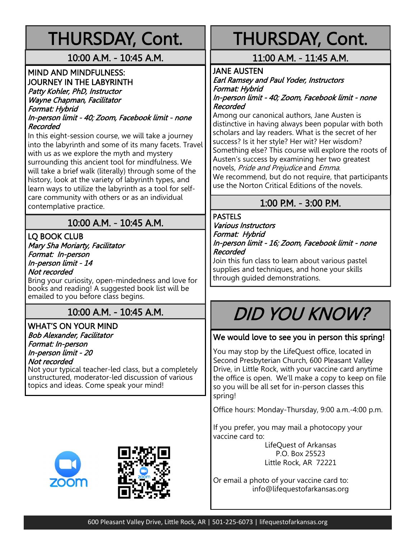## THURSDAY, Cont.

#### 10:00 A.M. - 10:45 A.M.

#### MIND AND MINDFULNESS: JOURNEY IN THE LABYRINTH

Patty Kohler, PhD, Instructor Wayne Chapman, Facilitator Format: Hybrid In-person limit - 40; Zoom, Facebook limit - none

Recorded

In this eight-session course, we will take a journey into the labyrinth and some of its many facets. Travel with us as we explore the myth and mystery surrounding this ancient tool for mindfulness. We will take a brief walk (literally) through some of the history, look at the variety of labyrinth types, and learn ways to utilize the labyrinth as a tool for selfcare community with others or as an individual contemplative practice.

### 10:00 A.M. - 10:45 A.M.

LQ BOOK CLUB Mary Sha Moriarty, Facilitator Format: In-person In-person limit - 14 Not recorded

Bring your curiosity, open-mindedness and love for books and reading! A suggested book list will be emailed to you before class begins.

### 10:00 A.M. - 10:45 A.M.

#### WHAT'S ON YOUR MIND Bob Alexander, Facilitator Format: In-person In-person limit - 20

Not recorded

Not your typical teacher-led class, but a completely unstructured, moderator-led discussion of various topics and ideas. Come speak your mind!





## THURSDAY, Cont.

### 11:00 A.M. - 11:45 A.M.

#### JANE AUSTEN

Earl Ramsey and Paul Yoder, Instructors Format: Hybrid In-person limit - 40; Zoom, Facebook limit - none

Recorded

Among our canonical authors, Jane Austen is distinctive in having always been popular with both scholars and lay readers. What is the secret of her success? Is it her style? Her wit? Her wisdom? Something else? This course will explore the roots of Austen's success by examining her two greatest novels, Pride and Prejudice and Emma. We recommend, but do not require, that participants use the Norton Critical Editions of the novels.

### 1:00 P.M. - 3:00 P.M.

#### PASTELS

Various Instructors Format: Hybrid In-person limit - 16; Zoom, Facebook limit - none Recorded

Join this fun class to learn about various pastel supplies and techniques, and hone your skills through guided demonstrations.

## DID YOU KNOW?

#### We would love to see you in person this spring!

You may stop by the LifeQuest office, located in Second Presbyterian Church, 600 Pleasant Valley Drive, in Little Rock, with your vaccine card anytime the office is open. We'll make a copy to keep on file so you will be all set for in-person classes this spring!

Office hours: Monday-Thursday, 9:00 a.m.-4:00 p.m.

If you prefer, you may mail a photocopy your vaccine card to:

> LifeQuest of Arkansas P.O. Box 25523 Little Rock, AR 72221

Or email a photo of your vaccine card to: info@lifequestofarkansas.org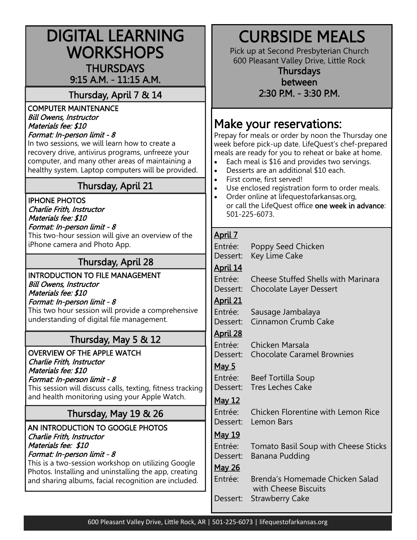| <b>DIGITAL LEARNING</b><br><b>WORKSHOPS</b><br><b>THURSDAYS</b><br>9:15 A.M. - 11:15 A.M.<br>Thursday, April 7 & 14<br><b>COMPUTER MAINTENANCE</b>                                                                                                                                                  | <b>CURBSIDE MEALS</b><br>Pick up at Second Presbyterian Church<br>600 Pleasant Valley Drive, Little Rock<br><b>Thursdays</b><br>between<br>2:30 P.M. - 3:30 P.M.                                                                                                                                                                                        |
|-----------------------------------------------------------------------------------------------------------------------------------------------------------------------------------------------------------------------------------------------------------------------------------------------------|---------------------------------------------------------------------------------------------------------------------------------------------------------------------------------------------------------------------------------------------------------------------------------------------------------------------------------------------------------|
| <b>Bill Owens, Instructor</b><br>Materials fee: \$10<br>Format: In-person limit - 8<br>In two sessions, we will learn how to create a<br>recovery drive, antivirus programs, unfreeze your<br>computer, and many other areas of maintaining a<br>healthy system. Laptop computers will be provided. | Make your reservations:<br>Prepay for meals or order by noon the Thursday one<br>week before pick-up date. LifeQuest's chef-prepared<br>meals are ready for you to reheat or bake at home.<br>Each meal is \$16 and provides two servings.<br>$\bullet$<br>Desserts are an additional \$10 each.<br>$\bullet$<br>First come, first served!<br>$\bullet$ |
| Thursday, April 21                                                                                                                                                                                                                                                                                  | Use enclosed registration form to order meals.<br>$\bullet$                                                                                                                                                                                                                                                                                             |
| <b>IPHONE PHOTOS</b><br>Charlie Frith, Instructor<br>Materials fee: \$10<br>Format: In-person limit - 8<br>This two-hour session will give an overview of the                                                                                                                                       | Order online at lifequestofarkansas.org,<br>$\bullet$<br>or call the LifeQuest office one week in advance:<br>501-225-6073.<br>April 7                                                                                                                                                                                                                  |
| iPhone camera and Photo App.                                                                                                                                                                                                                                                                        | Entrée:<br>Poppy Seed Chicken                                                                                                                                                                                                                                                                                                                           |
| <b>Thursday, April 28</b>                                                                                                                                                                                                                                                                           | Key Lime Cake<br>Dessert:                                                                                                                                                                                                                                                                                                                               |
| <b>INTRODUCTION TO FILE MANAGEMENT</b><br><b>Bill Owens, Instructor</b><br>Materials fee: \$10<br>Format: In-person limit - 8<br>This two hour session will provide a comprehensive<br>understanding of digital file management.                                                                    | April 14<br>Entrée:<br><b>Cheese Stuffed Shells with Marinara</b><br>Dessert:<br><b>Chocolate Layer Dessert</b><br>April 21<br>Entrée:<br>Sausage Jambalaya<br>Cinnamon Crumb Cake<br>Dessert:                                                                                                                                                          |
| Thursday, May 5 & 12                                                                                                                                                                                                                                                                                | April 28                                                                                                                                                                                                                                                                                                                                                |
| <b>OVERVIEW OF THE APPLE WATCH</b><br>Charlie Frith, Instructor<br>Materials fee: \$10<br>Format: In-person limit - 8<br>This session will discuss calls, texting, fitness tracking<br>and health monitoring using your Apple Watch.                                                                | Entrée:<br>Chicken Marsala<br>Dessert: Chocolate Caramel Brownies<br><u>May 5</u><br>Entrée:<br>Beef Tortilla Soup<br><b>Tres Leches Cake</b><br>Dessert:                                                                                                                                                                                               |
|                                                                                                                                                                                                                                                                                                     | May 12                                                                                                                                                                                                                                                                                                                                                  |
| Thursday, May 19 & 26                                                                                                                                                                                                                                                                               | Entrée:<br>Chicken Florentine with Lemon Rice<br>Dessert:<br>Lemon Bars                                                                                                                                                                                                                                                                                 |
| AN INTRODUCTION TO GOOGLE PHOTOS<br>Charlie Frith, Instructor<br>Materials fee: \$10<br>Format: In-person limit - 8<br>This is a two-session workshop on utilizing Google<br>Photos. Installing and uninstalling the app, creating<br>and sharing albums, facial recognition are included.          | <u>May 19</u><br>Entrée:<br>Tomato Basil Soup with Cheese Sticks<br>Dessert:<br>Banana Pudding<br><b>May 26</b><br>Entrée:<br>Brenda's Homemade Chicken Salad                                                                                                                                                                                           |
|                                                                                                                                                                                                                                                                                                     | with Cheese Biscuits<br><b>Strawberry Cake</b><br>Dessert:                                                                                                                                                                                                                                                                                              |

L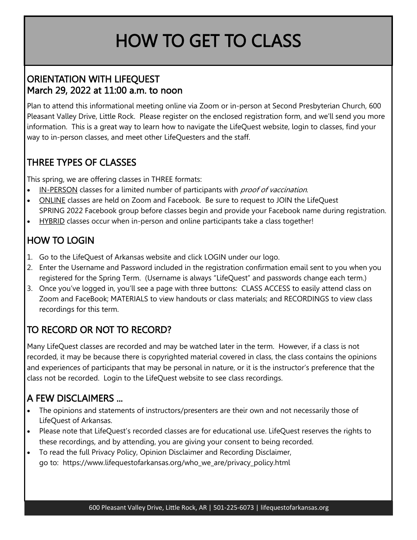## HOW TO GET TO CLASS

### ORIENTATION WITH LIFEQUEST March 29, 2022 at 11:00 a.m. to noon

Plan to attend this informational meeting online via Zoom or in-person at Second Presbyterian Church, 600 Pleasant Valley Drive, Little Rock. Please register on the enclosed registration form, and we'll send you more information. This is a great way to learn how to navigate the LifeQuest website, login to classes, find your way to in-person classes, and meet other LifeQuesters and the staff.

## THREE TYPES OF CLASSES

This spring, we are offering classes in THREE formats:

- IN-PERSON classes for a limited number of participants with *proof of vaccination*.
- ONLINE classes are held on Zoom and Facebook. Be sure to request to JOIN the LifeQuest SPRING 2022 Facebook group before classes begin and provide your Facebook name during registration.
- HYBRID classes occur when in-person and online participants take a class together!

## HOW TO LOGIN

- 1. Go to the LifeQuest of Arkansas website and click LOGIN under our logo.
- 2. Enter the Username and Password included in the registration confirmation email sent to you when you registered for the Spring Term. (Username is always "LifeQuest" and passwords change each term.)
- 3. Once you've logged in, you'll see a page with three buttons: CLASS ACCESS to easily attend class on Zoom and FaceBook; MATERIALS to view handouts or class materials; and RECORDINGS to view class recordings for this term.

## TO RECORD OR NOT TO RECORD?

Many LifeQuest classes are recorded and may be watched later in the term. However, if a class is not recorded, it may be because there is copyrighted material covered in class, the class contains the opinions and experiences of participants that may be personal in nature, or it is the instructor's preference that the class not be recorded. Login to the LifeQuest website to see class recordings.

## A FEW DISCLAIMERS ...

- The opinions and statements of instructors/presenters are their own and not necessarily those of LifeQuest of Arkansas.
- Please note that LifeQuest's recorded classes are for educational use. LifeQuest reserves the rights to these recordings, and by attending, you are giving your consent to being recorded.
- To read the full Privacy Policy, Opinion Disclaimer and Recording Disclaimer, go to: https://www.lifequestofarkansas.org/who\_we\_are/privacy\_policy.html